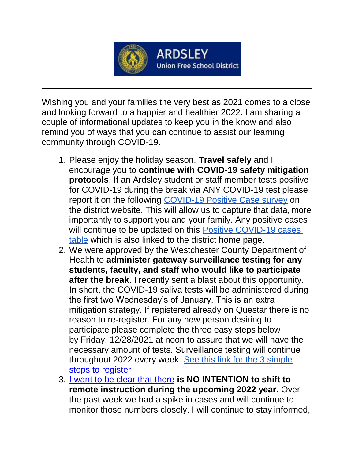

## **ARDSLEY Union Free School District**

Wishing you and your families the very best as 2021 comes to a close and looking forward to a happier and healthier 2022. I am sharing a couple of informational updates to keep you in the know and also remind you of ways that you can continue to assist our learning community through COVID-19.

- 1. Please enjoy the holiday season. **Travel safely** and I encourage you to **continue with COVID-19 safety mitigation protocols**. If an Ardsley student or staff member tests positive for COVID-19 during the break via ANY COVID-19 test please report it on the following [COVID-19 Positive Case survey](https://www.surveymonkey.com/r/62K3RZY) on the district website. This will allow us to capture that data, more importantly to support you and your family. Any positive cases will continue to be updated on this [Positive COVID-19 cases](https://docs.google.com/spreadsheets/d/1BRFm-rtP9Y3Coxlk7NoSIXDVf_C6EjZ1pXJnonT3VHI/edit#gid%3D0) [table](https://docs.google.com/spreadsheets/d/1BRFm-rtP9Y3Coxlk7NoSIXDVf_C6EjZ1pXJnonT3VHI/edit#gid%3D0) which is also linked to the district home page.
- 2. We were approved by the Westchester County Department of Health to **administer gateway surveillance testing for any students, faculty, and staff who would like to participate after the break**. I recently sent a blast about this opportunity. In short, the COVID-19 saliva tests will be administered during the first two Wednesday's of January. This is an extra mitigation strategy. If registered already on Questar there is no reason to re-register. For any new person desiring to participate please complete the three easy steps below by Friday, 12/28/2021 at noon to assure that we will have the necessary amount of tests. Surveillance testing will continue throughout 2022 every week. See this link for the 3 simple steps to register
- 3. [I want to be clear that there](https://docs.google.com/document/d/1fd-ZEwINhxyCXPzv4E6ylwG_B7PImshVnBJry91Xb7k/edit) **is NO INTENTION to shift to remote instruction during the upcoming 2022 year**. Over the past week we had a spike in cases and will continue to monitor those numbers closely. I will continue to stay informed,